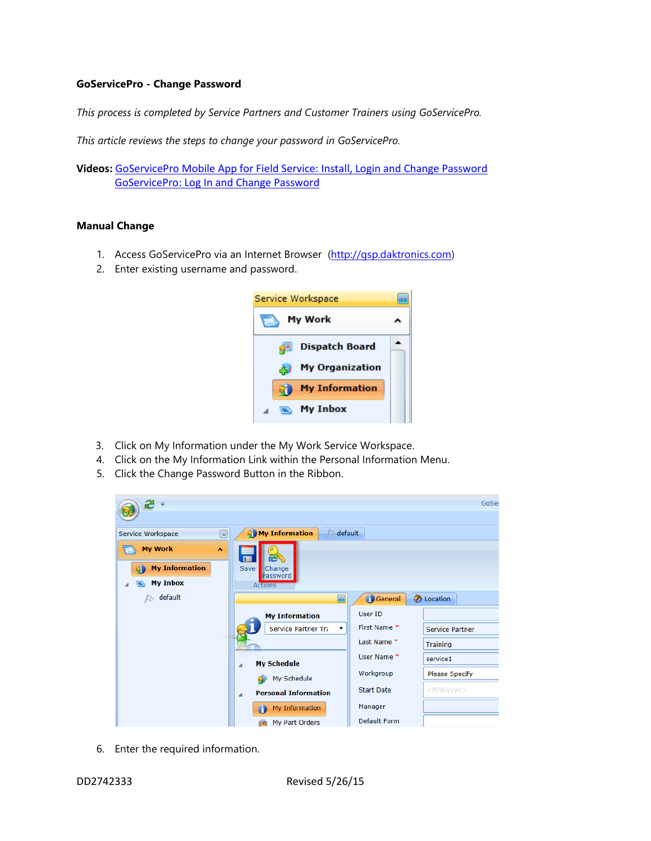## **GoServicePro - Change Password**

*This process is completed by Service Partners and Customer Trainers using GoServicePro.*

*This article reviews the steps to change your password in GoServicePro.*

**Videos:** [GoServicePro Mobile App for Field Service: Install, Login and Change Password](https://gm1.geolearning.com/geonext/daktronics/coursesummary.coursecatalog.geo?id=22507872137) [GoServicePro: Log In and Change Password](https://gm1.geolearning.com/geonext/daktronics/coursesummary.coursecatalog.geo?id=22507558038)

## **Manual Change**

- 1. Access GoServicePro via an Internet Browser [\(http://gsp.daktronics.com\)](http://gsp.daktronics.com/)
- 2. Enter existing username and password.



- 3. Click on My Information under the My Work Service Workspace.
- 4. Click on the My Information Link within the Personal Information Menu.
- 5. Click the Change Password Button in the Ribbon.

| æ<br>₩                                                                    |                                            |                   | GoSer             |
|---------------------------------------------------------------------------|--------------------------------------------|-------------------|-------------------|
| Service Workspace<br>$\Box$                                               | My Information<br>default                  |                   |                   |
| <b>My Work</b><br>$\overline{\phantom{a}}$<br><b>My Information</b><br>R. | Save<br>Change<br>Password                 |                   |                   |
| <b>My Inbox</b>                                                           | <b>Actions</b>                             |                   |                   |
| default<br>Þ                                                              | $\begin{bmatrix} \textbf{u} \end{bmatrix}$ | General           | <b>C</b> Location |
|                                                                           | <b>My Information</b>                      | User ID           |                   |
|                                                                           | Service Partner Tra                        | First Name *      | Service Partner   |
|                                                                           |                                            | Last Name*        | Training          |
|                                                                           | <b>My Schedule</b><br>⊿                    | User Name*        | service1          |
|                                                                           | My Schedule                                | Workgroup         | Please Specify    |
|                                                                           | <b>Personal Information</b><br>⊿           | <b>Start Date</b> | $<$ M/d/yyyy>     |
|                                                                           | My Information<br>O                        | Manager           |                   |
|                                                                           | My Part Orders<br>së,                      | Default Form      |                   |

6. Enter the required information.